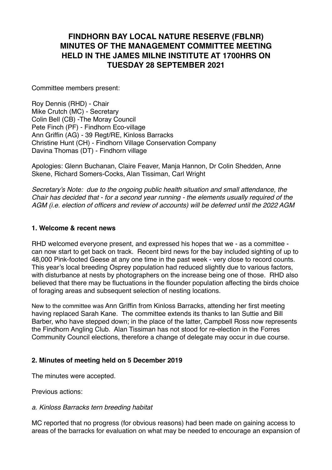# **FINDHORN BAY LOCAL NATURE RESERVE (FBLNR) MINUTES OF THE MANAGEMENT COMMITTEE MEETING HELD IN THE JAMES MILNE INSTITUTE AT 1700HRS ON TUESDAY 28 SEPTEMBER 2021**

Committee members present:

Roy Dennis (RHD) - Chair Mike Crutch (MC) - Secretary Colin Bell (CB) -The Moray Council Pete Finch (PF) - Findhorn Eco-village Ann Griffin (AG) - 39 Regt/RE, Kinloss Barracks Christine Hunt (CH) - Findhorn Village Conservation Company Davina Thomas (DT) - Findhorn village

Apologies: Glenn Buchanan, Claire Feaver, Manja Hannon, Dr Colin Shedden, Anne Skene, Richard Somers-Cocks, Alan Tissiman, Carl Wright

*Secretary's Note: due to the ongoing public health situation and small attendance, the Chair has decided that - for a second year running - the elements usually required of the AGM (i.e. election of officers and review of accounts) will be deferred until the 2022 AGM*

#### **1. Welcome & recent news**

RHD welcomed everyone present, and expressed his hopes that we - as a committee can now start to get back on track. Recent bird news for the bay included sighting of up to 48,000 Pink-footed Geese at any one time in the past week - very close to record counts. This year's local breeding Osprey population had reduced slightly due to various factors, with disturbance at nests by photographers on the increase being one of those. RHD also believed that there may be fluctuations in the flounder population affecting the birds choice of foraging areas and subsequent selection of nesting locations.

New to the committee was Ann Griffin from Kinloss Barracks, attending her first meeting having replaced Sarah Kane. The committee extends its thanks to Ian Suttie and Bill Barber, who have stepped down; in the place of the latter, Campbell Ross now represents the Findhorn Angling Club. Alan Tissiman has not stood for re-election in the Forres Community Council elections, therefore a change of delegate may occur in due course.

#### **2. Minutes of meeting held on 5 December 2019**

The minutes were accepted.

Previous actions:

#### *a. Kinloss Barracks tern breeding habitat*

MC reported that no progress (for obvious reasons) had been made on gaining access to areas of the barracks for evaluation on what may be needed to encourage an expansion of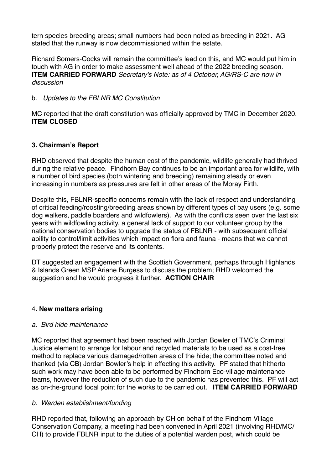tern species breeding areas; small numbers had been noted as breeding in 2021. AG stated that the runway is now decommissioned within the estate.

Richard Somers-Cocks will remain the committee's lead on this, and MC would put him in touch with AG in order to make assessment well ahead of the 2022 breeding season. **ITEM CARRIED FORWARD** *Secretary's Note: as of 4 October, AG/RS-C are now in discussion*

### b. *Updates to the FBLNR MC Constitution*

MC reported that the draft constitution was officially approved by TMC in December 2020. **ITEM CLOSED**

## **3. Chairman's Report**

RHD observed that despite the human cost of the pandemic, wildlife generally had thrived during the relative peace. Findhorn Bay continues to be an important area for wildlife, with a number of bird species (both wintering and breeding) remaining steady or even increasing in numbers as pressures are felt in other areas of the Moray Firth.

Despite this, FBLNR-specific concerns remain with the lack of respect and understanding of critical feeding/roosting/breeding areas shown by different types of bay users (e.g. some dog walkers, paddle boarders and wildfowlers). As with the conflicts seen over the last six years with wildfowling activity, a general lack of support to our volunteer group by the national conservation bodies to upgrade the status of FBLNR - with subsequent official ability to control/limit activities which impact on flora and fauna - means that we cannot properly protect the reserve and its contents.

DT suggested an engagement with the Scottish Government, perhaps through Highlands & Islands Green MSP Ariane Burgess to discuss the problem; RHD welcomed the suggestion and he would progress it further. **ACTION CHAIR**

#### 4**. New matters arising**

#### *a. Bird hide maintenance*

MC reported that agreement had been reached with Jordan Bowler of TMC's Criminal Justice element to arrange for labour and recycled materials to be used as a cost-free method to replace various damaged/rotten areas of the hide; the committee noted and thanked (via CB) Jordan Bowler's help in effecting this activity. PF stated that hitherto such work may have been able to be performed by Findhorn Eco-village maintenance teams, however the reduction of such due to the pandemic has prevented this. PF will act as on-the-ground focal point for the works to be carried out. **ITEM CARRIED FORWARD**

## *b. Warden establishment/funding*

RHD reported that, following an approach by CH on behalf of the Findhorn Village Conservation Company, a meeting had been convened in April 2021 (involving RHD/MC/ CH) to provide FBLNR input to the duties of a potential warden post, which could be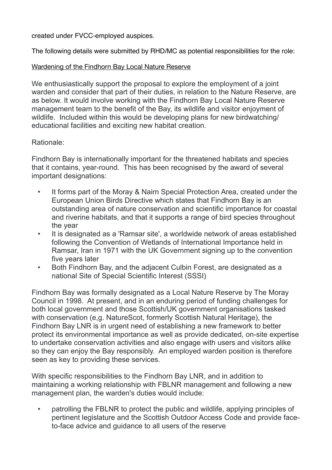created under FVCC-employed auspices.

The following details were submitted by RHD/MC as potential responsibilities for the role:

## Wardening of the Findhorn Bay Local Nature Reserve

We enthusiastically support the proposal to explore the employment of a joint warden and consider that part of their duties, in relation to the Nature Reserve, are as below. It would involve working with the Findhorn Bay Local Nature Reserve management team to the benefit of the Bay, its wildlife and visitor enjoyment of wildlife. Included within this would be developing plans for new birdwatching/ educational facilities and exciting new habitat creation.

## Rationale:

Findhorn Bay is internationally important for the threatened habitats and species that it contains, year-round. This has been recognised by the award of several important designations:

- It forms part of the Moray & Nairn Special Protection Area, created under the European Union Birds Directive which states that Findhorn Bay is an outstanding area of nature conservation and scientific importance for coastal and riverine habitats, and that it supports a range of bird species throughout the year
- It is designated as a 'Ramsar site', a worldwide network of areas established following the Convention of Wetlands of International Importance held in Ramsar, Iran in 1971 with the UK Government signing up to the convention five years later
- Both Findhorn Bay, and the adjacent Culbin Forest, are designated as a national Site of Special Scientific Interest (SSSI)

Findhorn Bay was formally designated as a Local Nature Reserve by The Moray Council in 1998. At present, and in an enduring period of funding challenges for both local government and those Scottish/UK government organisations tasked with conservation (e,g. NatureScot, formerly Scottish Natural Heritage), the Findhorn Bay LNR is in urgent need of establishing a new framework to better protect its environmental importance as well as provide dedicated, on-site expertise to undertake conservation activities and also engage with users and visitors alike so they can enjoy the Bay responsibly. An employed warden position is therefore seen as key to providing these services.

With specific responsibilities to the Findhorn Bay LNR, and in addition to maintaining a working relationship with FBLNR management and following a new management plan, the warden's duties would include:

• patrolling the FBLNR to protect the public and wildlife, applying principles of pertinent legislature and the Scottish Outdoor Access Code and provide faceto-face advice and guidance to all users of the reserve